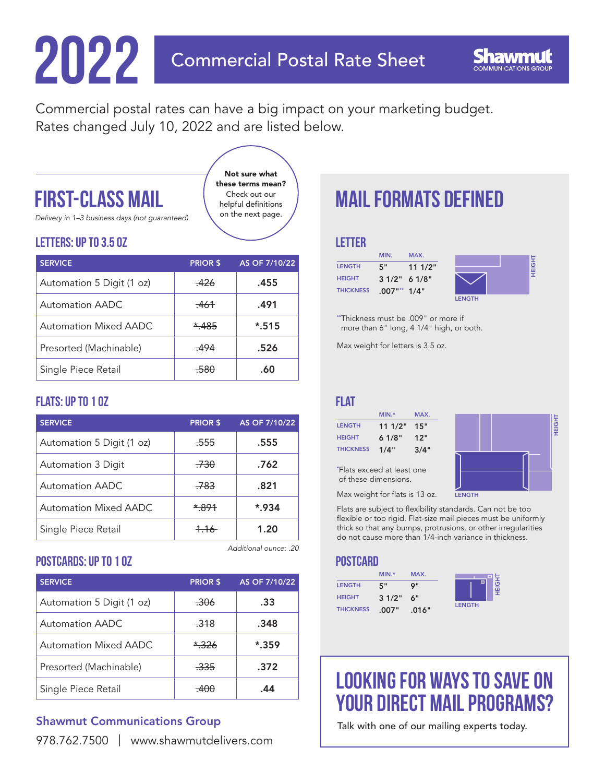# **2022** Commercial Postal Rate Sheet

Commercial postal rates can have a big impact on your marketing budget. Rates changed July 10, 2022 and are listed below.

> Not sure what these terms mean? Check out our helpful definitions on the next page.

### FIRST-CLASS MAIL

*Delivery in 1–3 business days (not guaranteed)*

#### Letters: Up to 3.5 oz

| <b>SERVICE</b>            | <b>PRIOR \$</b> | AS OF 7/10/22 |
|---------------------------|-----------------|---------------|
| Automation 5 Digit (1 oz) | $-426$          | .455          |
| Automation AADC           | .461            | .491          |
| Automation Mixed AADC     | $*485$          | $*$ .515      |
| Presorted (Machinable)    | $-494$          | .526          |
| Single Piece Retail       | $-580$          | .60           |

### Flats: Up to 1 oz

| <b>SERVICE</b>            | <b>PRIOR \$</b> | AS OF 7/10/22 |
|---------------------------|-----------------|---------------|
| Automation 5 Digit (1 oz) | .555            | .555          |
| Automation 3 Digit        | .730            | .762          |
| Automation AADC           | .783            | .821          |
| Automation Mixed AADC     | *.891           | $*$ .934      |
| Single Piece Retail       | $+16$           | 1.20          |

*Additional ounce: .20*

### Postcards: Up to 1 oz

| <b>SERVICE</b>            | <b>PRIOR \$</b> | AS OF 7/10/22 |
|---------------------------|-----------------|---------------|
| Automation 5 Digit (1 oz) | .306            | .33           |
| Automation AADC           | .318            | .348          |
| Automation Mixed AADC     | * 326           | $*$ .359      |
| Presorted (Machinable)    | .335            | .372          |
| Single Piece Retail       |                 | 44            |

### [Shawmut Communications Group](www.shawmutdelivers.com)

### Mail formats Defined

#### **LETTER**

|                  | MIN.            | MAX.   |               |        |
|------------------|-----------------|--------|---------------|--------|
| <b>LENGTH</b>    | 5"              | 111/2" |               | O<br>里 |
| <b>HEIGHT</b>    | 31/2" 61/8"     |        |               |        |
| <b>THICKNESS</b> | $.007$ "** 1/4" |        |               |        |
|                  |                 |        | <b>LENGTH</b> |        |

\*\*Thickness must be .009" or more if more than 6" long, 4 1/4" high, or both.

Max weight for letters is 3.5 oz.

#### **FLAT**

|                  | $MIN.*$ | MAX. |
|------------------|---------|------|
| <b>LENGTH</b>    | 111/2"  | 15"  |
| <b>HEIGHT</b>    | 61/8"   | 12"  |
| <b>THICKNESS</b> | 1/4"    | 3/4" |

\* Flats exceed at least one of these dimensions.



Max weight for flats is 13 oz.

Flats are subject to flexibility standards. Can not be too flexible or too rigid. Flat-size mail pieces must be uniformly thick so that any bumps, protrusions, or other irregularities do not cause more than 1/4-inch variance in thickness.

#### **POSTCARD**

|                  | $MIN.*$ | MAX.  |               |
|------------------|---------|-------|---------------|
| <b>LENGTH</b>    | 5"      | o "   | о             |
| <b>HEIGHT</b>    | 31/2"   | 6"    |               |
| <b>THICKNESS</b> | .007"   | .016" | <b>LENGTH</b> |



### [Looking for ways to save on](http://www.shawmutdelivers.com/contact/)  YOUR DIRECT MAIL PROGRAMS?

Talk with one of our mailing experts today.